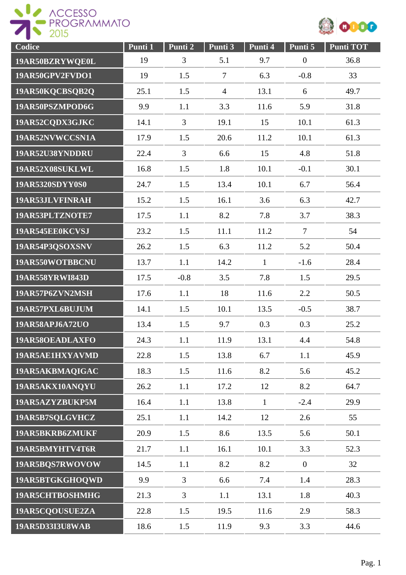



| Codice                 | Punti 1 | Punti <sub>2</sub> | Punti 3        | Punti 4      | Punti 5          | <b>Punti TOT</b> |
|------------------------|---------|--------------------|----------------|--------------|------------------|------------------|
| 19AR50BZRYWQE0L        | 19      | 3                  | 5.1            | 9.7          | $\boldsymbol{0}$ | 36.8             |
| 19AR50GPV2FVDO1        | 19      | 1.5                | $\tau$         | 6.3          | $-0.8$           | 33               |
| 19AR50KQCBSQB2Q        | 25.1    | 1.5                | $\overline{4}$ | 13.1         | 6                | 49.7             |
| 19AR50PSZMPOD6G        | 9.9     | 1.1                | 3.3            | 11.6         | 5.9              | 31.8             |
| 19AR52CQDX3GJKC        | 14.1    | 3                  | 19.1           | 15           | 10.1             | 61.3             |
| 19AR52NVWCCSN1A        | 17.9    | 1.5                | 20.6           | 11.2         | 10.1             | 61.3             |
| 19AR52U38YNDDRU        | 22.4    | $\overline{3}$     | 6.6            | 15           | 4.8              | 51.8             |
| 19AR52X08SUKLWL        | 16.8    | 1.5                | 1.8            | 10.1         | $-0.1$           | 30.1             |
| 19AR5320SDYY0S0        | 24.7    | 1.5                | 13.4           | 10.1         | 6.7              | 56.4             |
| 19AR53JLVFINRAH        | 15.2    | 1.5                | 16.1           | 3.6          | 6.3              | 42.7             |
| 19AR53PLTZNOTE7        | 17.5    | 1.1                | 8.2            | 7.8          | 3.7              | 38.3             |
| 19AR545EE0KCVSJ        | 23.2    | 1.5                | 11.1           | 11.2         | $\overline{7}$   | 54               |
| 19AR54P3QSOXSNV        | 26.2    | 1.5                | 6.3            | 11.2         | 5.2              | 50.4             |
| 19AR550WOTBBCNU        | 13.7    | 1.1                | 14.2           | $\mathbf{1}$ | $-1.6$           | 28.4             |
| 19AR558YRWI843D        | 17.5    | $-0.8$             | 3.5            | 7.8          | 1.5              | 29.5             |
| 19AR57P6ZVN2MSH        | 17.6    | 1.1                | 18             | 11.6         | 2.2              | 50.5             |
| 19AR57PXL6BUJUM        | 14.1    | 1.5                | 10.1           | 13.5         | $-0.5$           | 38.7             |
| 19AR58APJ6A72UO        | 13.4    | 1.5                | 9.7            | 0.3          | 0.3              | 25.2             |
| 19AR58OEADLAXFO        | 24.3    | 1.1                | 11.9           | 13.1         | 4.4              | 54.8             |
| 19AR5AE1HXYAVMD        | 22.8    | 1.5                | 13.8           | 6.7          | 1.1              | 45.9             |
| 19AR5AKBMAQIGAC        | 18.3    | 1.5                | 11.6           | 8.2          | 5.6              | 45.2             |
| 19AR5AKX10ANQYU        | 26.2    | 1.1                | 17.2           | 12           | 8.2              | 64.7             |
| 19AR5AZYZBUKP5M        | 16.4    | 1.1                | 13.8           | $\mathbf{1}$ | $-2.4$           | 29.9             |
| 19AR5B7SQLGVHCZ        | 25.1    | 1.1                | 14.2           | 12           | 2.6              | 55               |
| 19AR5BKRB6ZMUKF        | 20.9    | 1.5                | 8.6            | 13.5         | 5.6              | 50.1             |
| 19AR5BMYHTV4T6R        | 21.7    | 1.1                | 16.1           | 10.1         | 3.3              | 52.3             |
| 19AR5BQS7RWOVOW        | 14.5    | 1.1                | 8.2            | 8.2          | $\overline{0}$   | 32               |
| 19AR5BTGKGHOQWD        | 9.9     | $\overline{3}$     | 6.6            | 7.4          | 1.4              | 28.3             |
| 19AR5CHTBOSHMHG        | 21.3    | $\overline{3}$     | 1.1            | 13.1         | 1.8              | 40.3             |
| 19AR5CQOUSUE2ZA        | 22.8    | 1.5                | 19.5           | 11.6         | 2.9              | 58.3             |
| <b>19AR5D33I3U8WAB</b> | 18.6    | 1.5                | 11.9           | 9.3          | 3.3              | 44.6             |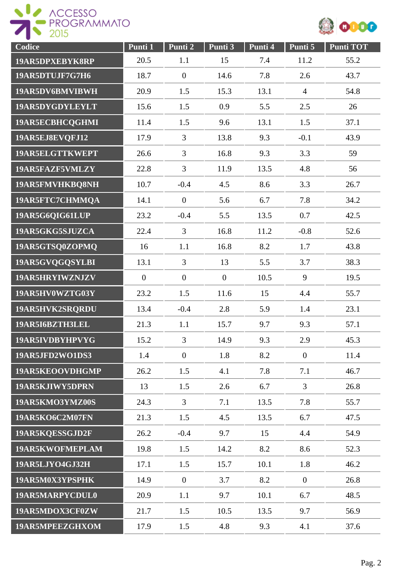

| Codice          | Punti 1          | Punti 2        | Punti 3      | Punti 4 | Punti 5          | <b>Punti TOT</b> |
|-----------------|------------------|----------------|--------------|---------|------------------|------------------|
| 19AR5DPXEBYK8RP | 20.5             | 1.1            | 15           | 7.4     | 11.2             | 55.2             |
| 19AR5DTUJF7G7H6 | 18.7             | $\overline{0}$ | 14.6         | 7.8     | 2.6              | 43.7             |
| 19AR5DV6BMVIBWH | 20.9             | 1.5            | 15.3         | 13.1    | $\overline{4}$   | 54.8             |
| 19AR5DYGDYLEYLT | 15.6             | 1.5            | 0.9          | 5.5     | 2.5              | 26               |
| 19AR5ECBHCQGHMI | 11.4             | 1.5            | 9.6          | 13.1    | 1.5              | 37.1             |
| 19AR5EJ8EVQFJ12 | 17.9             | 3              | 13.8         | 9.3     | $-0.1$           | 43.9             |
| 19AR5ELGTTKWEPT | 26.6             | 3              | 16.8         | 9.3     | 3.3              | 59               |
| 19AR5FAZF5VMLZY | 22.8             | $\overline{3}$ | 11.9         | 13.5    | 4.8              | 56               |
| 19AR5FMVHKBQ8NH | 10.7             | $-0.4$         | 4.5          | 8.6     | 3.3              | 26.7             |
| 19AR5FTC7CHMMQA | 14.1             | $\overline{0}$ | 5.6          | 6.7     | 7.8              | 34.2             |
| 19AR5G6QIG61LUP | 23.2             | $-0.4$         | 5.5          | 13.5    | 0.7              | 42.5             |
| 19AR5GKG5SJUZCA | 22.4             | $\overline{3}$ | 16.8         | 11.2    | $-0.8$           | 52.6             |
| 19AR5GTSQ0ZOPMQ | 16               | 1.1            | 16.8         | 8.2     | 1.7              | 43.8             |
| 19AR5GVQGQSYLBI | 13.1             | $\overline{3}$ | 13           | 5.5     | 3.7              | 38.3             |
| 19AR5HRYIWZNJZV | $\boldsymbol{0}$ | $\overline{0}$ | $\mathbf{0}$ | 10.5    | 9                | 19.5             |
| 19AR5HV0WZTG03Y | 23.2             | 1.5            | 11.6         | 15      | 4.4              | 55.7             |
| 19AR5HVK2SRQRDU | 13.4             | $-0.4$         | 2.8          | 5.9     | 1.4              | 23.1             |
| 19AR5I6BZTH3LEL | 21.3             | 1.1            | 15.7         | 9.7     | 9.3              | 57.1             |
| 19AR5IVDBYHPVYG | 15.2             | 3              | 14.9         | 9.3     | 2.9              | 45.3             |
| 19AR5JFD2WO1DS3 | 1.4              | $\overline{0}$ | 1.8          | 8.2     | $\boldsymbol{0}$ | 11.4             |
| 19AR5KEOOVDHGMP | 26.2             | 1.5            | 4.1          | 7.8     | 7.1              | 46.7             |
| 19AR5KJIWY5DPRN | 13               | 1.5            | 2.6          | 6.7     | $\overline{3}$   | 26.8             |
| 19AR5KMO3YMZ00S | 24.3             | $\overline{3}$ | 7.1          | 13.5    | 7.8              | 55.7             |
| 19AR5KO6C2M07FN | 21.3             | 1.5            | 4.5          | 13.5    | 6.7              | 47.5             |
| 19AR5KQESSGJD2F | 26.2             | $-0.4$         | 9.7          | 15      | 4.4              | 54.9             |
| 19AR5KWOFMEPLAM | 19.8             | 1.5            | 14.2         | 8.2     | 8.6              | 52.3             |
| 19AR5LJYO4GJ32H | 17.1             | 1.5            | 15.7         | 10.1    | 1.8              | 46.2             |
| 19AR5M0X3YPSPHK | 14.9             | $\mathbf{0}$   | 3.7          | 8.2     | $\overline{0}$   | 26.8             |
| 19AR5MARPYCDUL0 | 20.9             | 1.1            | 9.7          | 10.1    | 6.7              | 48.5             |
| 19AR5MDOX3CF0ZW | 21.7             | 1.5            | 10.5         | 13.5    | 9.7              | 56.9             |
| 19AR5MPEEZGHXOM | 17.9             | 1.5            | 4.8          | 9.3     | 4.1              | 37.6             |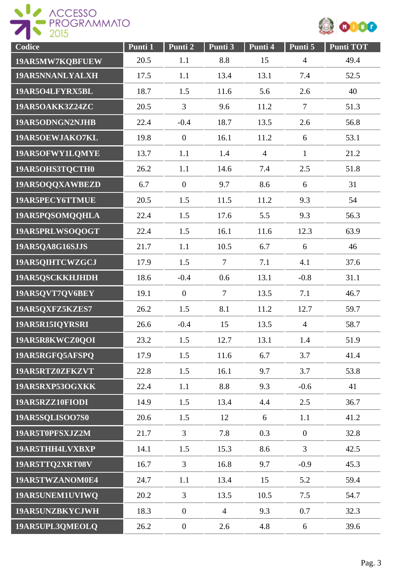



| Codice          | Punti 1 | Punti 2          | Punti 3        | Punti 4        | Punti 5          | <b>Punti TOT</b> |
|-----------------|---------|------------------|----------------|----------------|------------------|------------------|
| 19AR5MW7KQBFUEW | 20.5    | 1.1              | 8.8            | 15             | $\overline{4}$   | 49.4             |
| 19AR5NNANLYALXH | 17.5    | 1.1              | 13.4           | 13.1           | 7.4              | 52.5             |
| 19AR5O4LFYRX5BL | 18.7    | 1.5              | 11.6           | 5.6            | 2.6              | 40               |
| 19AR5OAKK3Z24ZC | 20.5    | 3                | 9.6            | 11.2           | $\tau$           | 51.3             |
| 19AR5ODNGN2NJHB | 22.4    | $-0.4$           | 18.7           | 13.5           | 2.6              | 56.8             |
| 19AR5OEWJAKO7KL | 19.8    | $\boldsymbol{0}$ | 16.1           | 11.2           | 6                | 53.1             |
| 19AR5OFWY1LQMYE | 13.7    | 1.1              | 1.4            | $\overline{4}$ | $\mathbf{1}$     | 21.2             |
| 19AR5OHS3TQCTH0 | 26.2    | 1.1              | 14.6           | 7.4            | 2.5              | 51.8             |
| 19AR5OQQXAWBEZD | 6.7     | $\theta$         | 9.7            | 8.6            | 6                | 31               |
| 19AR5PECY6TTMUE | 20.5    | 1.5              | 11.5           | 11.2           | 9.3              | 54               |
| 19AR5PQSOMQQHLA | 22.4    | 1.5              | 17.6           | 5.5            | 9.3              | 56.3             |
| 19AR5PRLWSOQOGT | 22.4    | 1.5              | 16.1           | 11.6           | 12.3             | 63.9             |
| 19AR5QA8G16SJJS | 21.7    | 1.1              | 10.5           | 6.7            | 6                | 46               |
| 19AR5QIHTCWZGCJ | 17.9    | 1.5              | $\tau$         | 7.1            | 4.1              | 37.6             |
| 19AR5QSCKKHJHDH | 18.6    | $-0.4$           | 0.6            | 13.1           | $-0.8$           | 31.1             |
| 19AR5QVT7QV6BEY | 19.1    | $\boldsymbol{0}$ | $\overline{7}$ | 13.5           | 7.1              | 46.7             |
| 19AR5QXFZ5KZES7 | 26.2    | 1.5              | 8.1            | 11.2           | 12.7             | 59.7             |
| 19AR5R15IQYRSRI | 26.6    | $-0.4$           | 15             | 13.5           | $\overline{4}$   | 58.7             |
| 19AR5R8KWCZ0QOI | 23.2    | 1.5              | 12.7           | 13.1           | 1.4              | 51.9             |
| 19AR5RGFQ5AFSPQ | 17.9    | 1.5              | 11.6           | 6.7            | 3.7              | 41.4             |
| 19AR5RTZ0ZFKZVT | 22.8    | 1.5              | 16.1           | 9.7            | 3.7              | 53.8             |
| 19AR5RXP53OGXKK | 22.4    | 1.1              | 8.8            | 9.3            | $-0.6$           | 41               |
| 19AR5RZZ10FIODI | 14.9    | 1.5              | 13.4           | 4.4            | 2.5              | 36.7             |
| 19AR5SQLISOO7S0 | 20.6    | 1.5              | 12             | 6              | 1.1              | 41.2             |
| 19AR5T0PFSXJZ2M | 21.7    | $\overline{3}$   | 7.8            | 0.3            | $\boldsymbol{0}$ | 32.8             |
| 19AR5THH4LVXBXP | 14.1    | 1.5              | 15.3           | 8.6            | $\overline{3}$   | 42.5             |
| 19AR5TTQ2XRT08V | 16.7    | $\overline{3}$   | 16.8           | 9.7            | $-0.9$           | 45.3             |
| 19AR5TWZANOM0E4 | 24.7    | 1.1              | 13.4           | 15             | 5.2              | 59.4             |
| 19AR5UNEM1UVIWQ | 20.2    | $\overline{3}$   | 13.5           | 10.5           | 7.5              | 54.7             |
| 19AR5UNZBKYCJWH | 18.3    | $\boldsymbol{0}$ | $\overline{4}$ | 9.3            | 0.7              | 32.3             |
| 19AR5UPL3QMEOLQ | 26.2    | $\boldsymbol{0}$ | 2.6            | 4.8            | 6                | 39.6             |